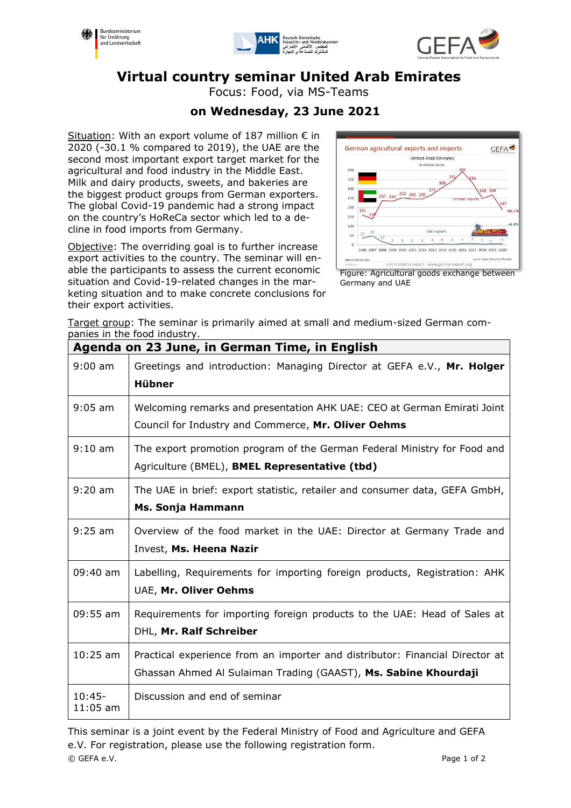





# **Virtual country seminar United Arab Emirates**

Focus: Food, via MS-Teams

## **on Wednesday, 23 June 2021**

Situation: With an export volume of 187 million  $\epsilon$  in 2020 (-30.1 % compared to 2019), the UAE are the second most important export target market for the agricultural and food industry in the Middle East. Milk and dairy products, sweets, and bakeries are the biggest product groups from German exporters. The global Covid-19 pandemic had a strong impact on the country's HoReCa sector which led to a decline in food imports from Germany.

Objective: The overriding goal is to further increase export activities to the country. The seminar will enable the participants to assess the current economic situation and Covid-19-related changes in the marketing situation and to make concrete conclusions for their export activities.



Figure: Agricultural goods exchange between Germany and UAE

Target group: The seminar is primarily aimed at small and medium-sized German companies in the food industry.

| Agenda on 23 June, in German Time, in English |                                                                                                                                                 |
|-----------------------------------------------|-------------------------------------------------------------------------------------------------------------------------------------------------|
| $9:00$ am                                     | Greetings and introduction: Managing Director at GEFA e.V., Mr. Holger<br><b>Hübner</b>                                                         |
| $9:05$ am                                     | Welcoming remarks and presentation AHK UAE: CEO at German Emirati Joint<br>Council for Industry and Commerce, Mr. Oliver Oehms                  |
| $9:10 \text{ am}$                             | The export promotion program of the German Federal Ministry for Food and<br>Agriculture (BMEL), BMEL Representative (tbd)                       |
| $9:20$ am                                     | The UAE in brief: export statistic, retailer and consumer data, GEFA GmbH,<br>Ms. Sonja Hammann                                                 |
| $9:25$ am                                     | Overview of the food market in the UAE: Director at Germany Trade and<br>Invest, Ms. Heena Nazir                                                |
| 09:40 am                                      | Labelling, Requirements for importing foreign products, Registration: AHK<br>UAE, Mr. Oliver Oehms                                              |
| 09:55 am                                      | Requirements for importing foreign products to the UAE: Head of Sales at<br>DHL, Mr. Ralf Schreiber                                             |
| $10:25$ am                                    | Practical experience from an importer and distributor: Financial Director at<br>Ghassan Ahmed Al Sulaiman Trading (GAAST), Ms. Sabine Khourdaji |
| $10:45-$<br>$11:05$ am                        | Discussion and end of seminar                                                                                                                   |

© GEFA e.V. Page 1 of 2 This seminar is a joint event by the Federal Ministry of Food and Agriculture and GEFA e.V. For registration, please use the following registration form.